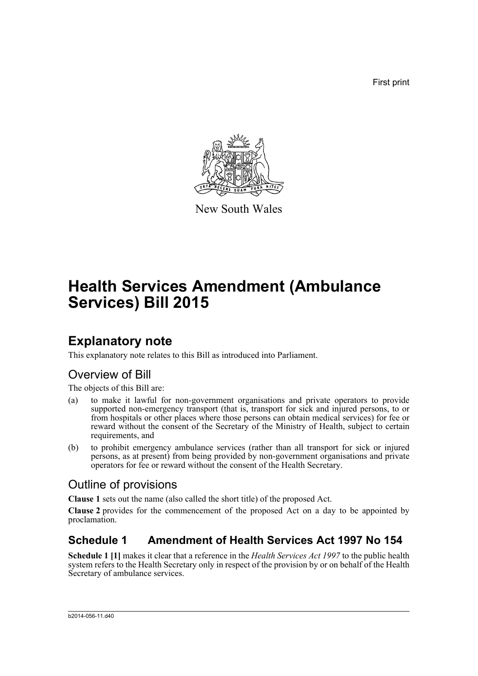First print



New South Wales

# **Health Services Amendment (Ambulance Services) Bill 2015**

## **Explanatory note**

This explanatory note relates to this Bill as introduced into Parliament.

## Overview of Bill

The objects of this Bill are:

- (a) to make it lawful for non-government organisations and private operators to provide supported non-emergency transport (that is, transport for sick and injured persons, to or from hospitals or other places where those persons can obtain medical services) for fee or reward without the consent of the Secretary of the Ministry of Health, subject to certain requirements, and
- (b) to prohibit emergency ambulance services (rather than all transport for sick or injured persons, as at present) from being provided by non-government organisations and private operators for fee or reward without the consent of the Health Secretary.

### Outline of provisions

**Clause 1** sets out the name (also called the short title) of the proposed Act.

**Clause 2** provides for the commencement of the proposed Act on a day to be appointed by proclamation.

### **Schedule 1 Amendment of Health Services Act 1997 No 154**

**Schedule 1 [1]** makes it clear that a reference in the *Health Services Act 1997* to the public health system refers to the Health Secretary only in respect of the provision by or on behalf of the Health Secretary of ambulance services.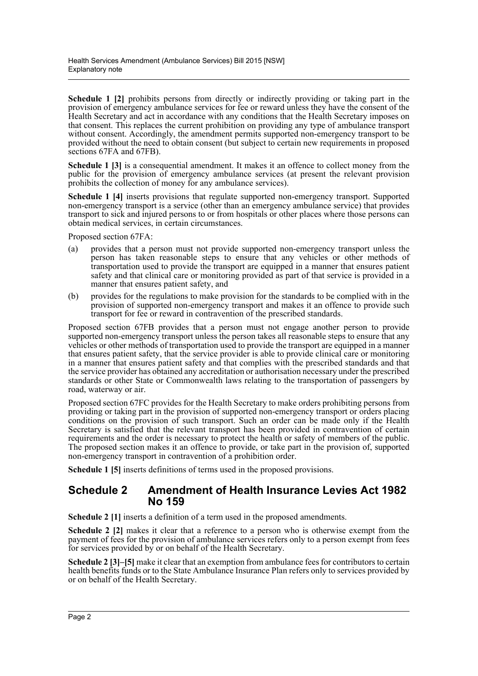**Schedule 1 [2]** prohibits persons from directly or indirectly providing or taking part in the provision of emergency ambulance services for fee or reward unless they have the consent of the Health Secretary and act in accordance with any conditions that the Health Secretary imposes on that consent. This replaces the current prohibition on providing any type of ambulance transport without consent. Accordingly, the amendment permits supported non-emergency transport to be provided without the need to obtain consent (but subject to certain new requirements in proposed sections 67FA and 67FB).

**Schedule 1 [3]** is a consequential amendment. It makes it an offence to collect money from the public for the provision of emergency ambulance services (at present the relevant provision prohibits the collection of money for any ambulance services).

**Schedule 1 [4]** inserts provisions that regulate supported non-emergency transport. Supported non-emergency transport is a service (other than an emergency ambulance service) that provides transport to sick and injured persons to or from hospitals or other places where those persons can obtain medical services, in certain circumstances.

Proposed section 67FA:

- (a) provides that a person must not provide supported non-emergency transport unless the person has taken reasonable steps to ensure that any vehicles or other methods of transportation used to provide the transport are equipped in a manner that ensures patient safety and that clinical care or monitoring provided as part of that service is provided in a manner that ensures patient safety, and
- (b) provides for the regulations to make provision for the standards to be complied with in the provision of supported non-emergency transport and makes it an offence to provide such transport for fee or reward in contravention of the prescribed standards.

Proposed section 67FB provides that a person must not engage another person to provide supported non-emergency transport unless the person takes all reasonable steps to ensure that any vehicles or other methods of transportation used to provide the transport are equipped in a manner that ensures patient safety, that the service provider is able to provide clinical care or monitoring in a manner that ensures patient safety and that complies with the prescribed standards and that the service provider has obtained any accreditation or authorisation necessary under the prescribed standards or other State or Commonwealth laws relating to the transportation of passengers by road, waterway or air.

Proposed section 67FC provides for the Health Secretary to make orders prohibiting persons from providing or taking part in the provision of supported non-emergency transport or orders placing conditions on the provision of such transport. Such an order can be made only if the Health Secretary is satisfied that the relevant transport has been provided in contravention of certain requirements and the order is necessary to protect the health or safety of members of the public. The proposed section makes it an offence to provide, or take part in the provision of, supported non-emergency transport in contravention of a prohibition order.

**Schedule 1 [5]** inserts definitions of terms used in the proposed provisions.

#### **Schedule 2 Amendment of Health Insurance Levies Act 1982 No 159**

**Schedule 2 [1]** inserts a definition of a term used in the proposed amendments.

**Schedule 2 [2]** makes it clear that a reference to a person who is otherwise exempt from the payment of fees for the provision of ambulance services refers only to a person exempt from fees for services provided by or on behalf of the Health Secretary.

**Schedule 2** [3]–[5] make it clear that an exemption from ambulance fees for contributors to certain health benefits funds or to the State Ambulance Insurance Plan refers only to services provided by or on behalf of the Health Secretary.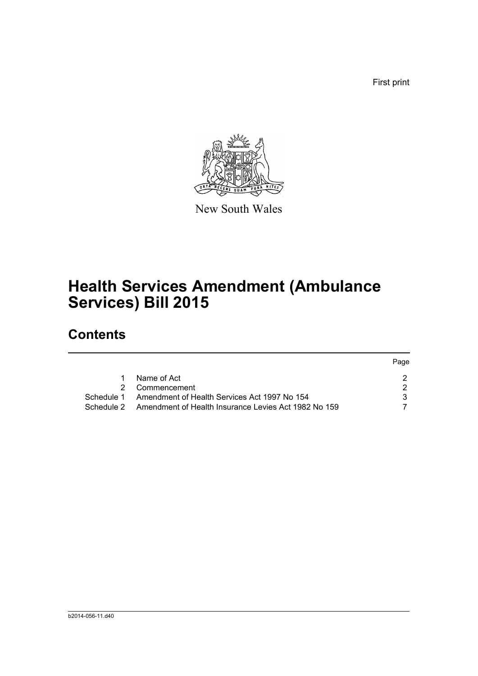First print



New South Wales

## **Health Services Amendment (Ambulance Services) Bill 2015**

## **Contents**

|            |                                                      | Page |
|------------|------------------------------------------------------|------|
|            | Name of Act                                          |      |
| 2          | Commencement                                         |      |
| Schedule 1 | Amendment of Health Services Act 1997 No 154         |      |
| Schedule 2 | Amendment of Health Insurance Levies Act 1982 No 159 |      |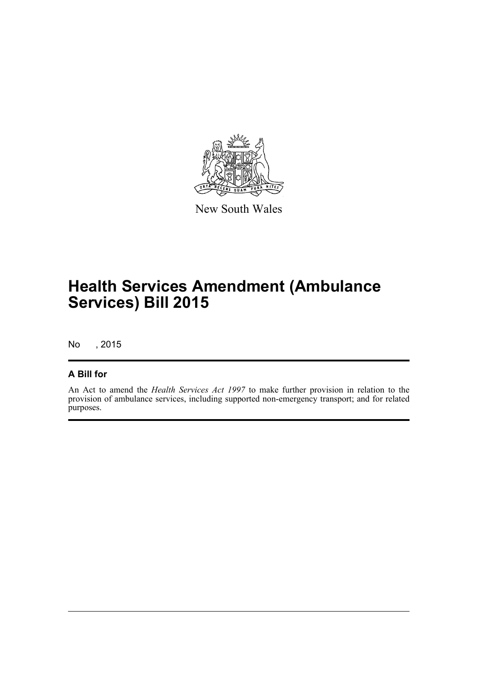

New South Wales

## **Health Services Amendment (Ambulance Services) Bill 2015**

No , 2015

#### **A Bill for**

An Act to amend the *Health Services Act 1997* to make further provision in relation to the provision of ambulance services, including supported non-emergency transport; and for related purposes.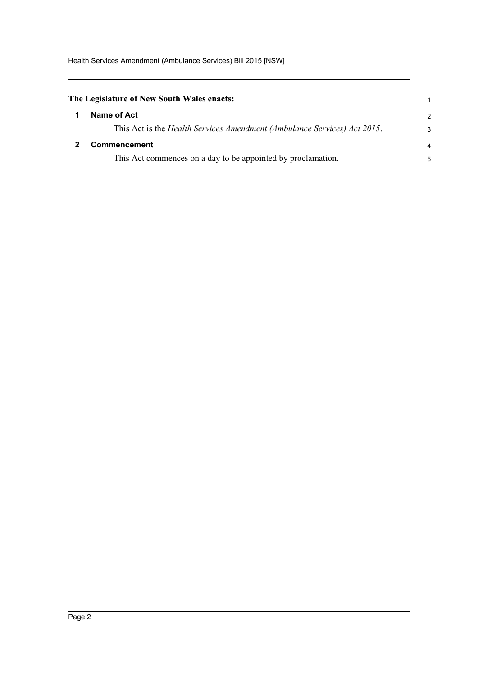<span id="page-4-1"></span><span id="page-4-0"></span>

| $\overline{2}$ |
|----------------|
| 3              |
| $\overline{4}$ |
| 5              |
|                |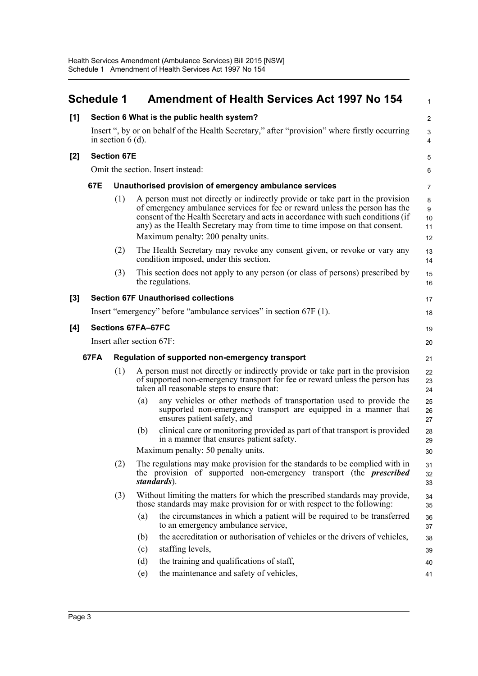<span id="page-5-0"></span>

|       | <b>Schedule 1</b>                                                                                                    |                                   |                                                                                                                                                                                                              | <b>Amendment of Health Services Act 1997 No 154</b>                                                                                                                                                                                                                                                                                                                   | $\mathbf{1}$             |  |
|-------|----------------------------------------------------------------------------------------------------------------------|-----------------------------------|--------------------------------------------------------------------------------------------------------------------------------------------------------------------------------------------------------------|-----------------------------------------------------------------------------------------------------------------------------------------------------------------------------------------------------------------------------------------------------------------------------------------------------------------------------------------------------------------------|--------------------------|--|
| [1]   | Section 6 What is the public health system?                                                                          |                                   |                                                                                                                                                                                                              |                                                                                                                                                                                                                                                                                                                                                                       |                          |  |
|       | Insert ", by or on behalf of the Health Secretary," after "provision" where firstly occurring<br>in section $6(d)$ . |                                   |                                                                                                                                                                                                              |                                                                                                                                                                                                                                                                                                                                                                       | 3<br>$\overline{4}$      |  |
| $[2]$ |                                                                                                                      | <b>Section 67E</b>                |                                                                                                                                                                                                              |                                                                                                                                                                                                                                                                                                                                                                       |                          |  |
|       |                                                                                                                      | Omit the section. Insert instead: |                                                                                                                                                                                                              |                                                                                                                                                                                                                                                                                                                                                                       |                          |  |
|       | 67E                                                                                                                  |                                   |                                                                                                                                                                                                              | Unauthorised provision of emergency ambulance services                                                                                                                                                                                                                                                                                                                | $\overline{7}$           |  |
|       |                                                                                                                      | (1)                               |                                                                                                                                                                                                              | A person must not directly or indirectly provide or take part in the provision<br>of emergency ambulance services for fee or reward unless the person has the<br>consent of the Health Secretary and acts in accordance with such conditions (if<br>any) as the Health Secretary may from time to time impose on that consent.<br>Maximum penalty: 200 penalty units. | 8<br>9<br>10<br>11<br>12 |  |
|       |                                                                                                                      | (2)                               |                                                                                                                                                                                                              | The Health Secretary may revoke any consent given, or revoke or vary any<br>condition imposed, under this section.                                                                                                                                                                                                                                                    | 13<br>14                 |  |
|       |                                                                                                                      | (3)                               |                                                                                                                                                                                                              | This section does not apply to any person (or class of persons) prescribed by<br>the regulations.                                                                                                                                                                                                                                                                     | 15<br>16                 |  |
| $[3]$ |                                                                                                                      |                                   |                                                                                                                                                                                                              | <b>Section 67F Unauthorised collections</b>                                                                                                                                                                                                                                                                                                                           | 17                       |  |
|       |                                                                                                                      |                                   |                                                                                                                                                                                                              | Insert "emergency" before "ambulance services" in section 67F (1).                                                                                                                                                                                                                                                                                                    | 18                       |  |
| [4]   |                                                                                                                      | Sections 67FA-67FC                |                                                                                                                                                                                                              |                                                                                                                                                                                                                                                                                                                                                                       |                          |  |
|       | Insert after section 67F:                                                                                            |                                   |                                                                                                                                                                                                              |                                                                                                                                                                                                                                                                                                                                                                       |                          |  |
|       | 67FA                                                                                                                 |                                   |                                                                                                                                                                                                              | Regulation of supported non-emergency transport                                                                                                                                                                                                                                                                                                                       | 21                       |  |
|       | (1)                                                                                                                  |                                   | A person must not directly or indirectly provide or take part in the provision<br>of supported non-emergency transport for fee or reward unless the person has<br>taken all reasonable steps to ensure that: | 22<br>23<br>24                                                                                                                                                                                                                                                                                                                                                        |                          |  |
|       |                                                                                                                      |                                   | (a)                                                                                                                                                                                                          | any vehicles or other methods of transportation used to provide the<br>supported non-emergency transport are equipped in a manner that<br>ensures patient safety, and                                                                                                                                                                                                 | 25<br>26<br>27           |  |
|       |                                                                                                                      |                                   | (b)                                                                                                                                                                                                          | clinical care or monitoring provided as part of that transport is provided<br>in a manner that ensures patient safety.                                                                                                                                                                                                                                                | 28<br>29                 |  |
|       |                                                                                                                      |                                   |                                                                                                                                                                                                              | Maximum penalty: 50 penalty units.                                                                                                                                                                                                                                                                                                                                    | 30                       |  |
|       |                                                                                                                      | (2)                               |                                                                                                                                                                                                              | The regulations may make provision for the standards to be complied with in<br>the provision of supported non-emergency transport (the <i>prescribed</i><br>standards).                                                                                                                                                                                               | 31<br>32<br>33           |  |
|       |                                                                                                                      | (3)                               |                                                                                                                                                                                                              | Without limiting the matters for which the prescribed standards may provide,<br>those standards may make provision for or with respect to the following:                                                                                                                                                                                                              | 34<br>35                 |  |
|       |                                                                                                                      |                                   | (a)                                                                                                                                                                                                          | the circumstances in which a patient will be required to be transferred<br>to an emergency ambulance service,                                                                                                                                                                                                                                                         | 36<br>37                 |  |
|       |                                                                                                                      |                                   | (b)                                                                                                                                                                                                          | the accreditation or authorisation of vehicles or the drivers of vehicles,                                                                                                                                                                                                                                                                                            | 38                       |  |
|       |                                                                                                                      |                                   | (c)<br>(d)                                                                                                                                                                                                   | staffing levels,<br>the training and qualifications of staff,                                                                                                                                                                                                                                                                                                         | 39                       |  |
|       |                                                                                                                      |                                   | (e)                                                                                                                                                                                                          | the maintenance and safety of vehicles,                                                                                                                                                                                                                                                                                                                               | 40<br>41                 |  |
|       |                                                                                                                      |                                   |                                                                                                                                                                                                              |                                                                                                                                                                                                                                                                                                                                                                       |                          |  |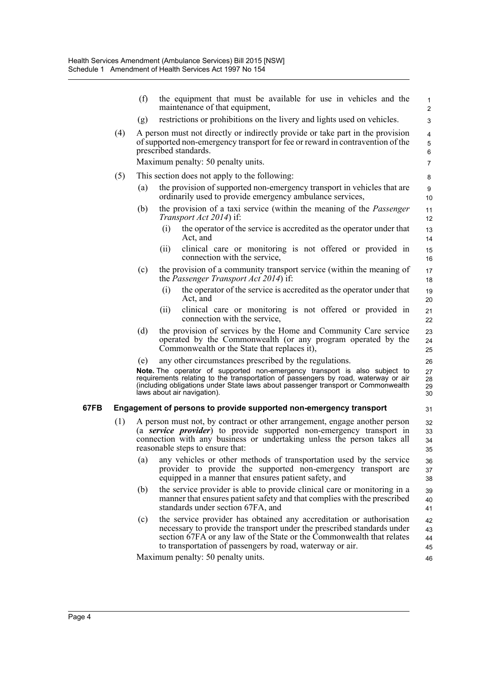|      |     | (f) | the equipment that must be available for use in vehicles and the<br>maintenance of that equipment,                                                                                                                                                                                    | $\mathbf{1}$<br>2    |
|------|-----|-----|---------------------------------------------------------------------------------------------------------------------------------------------------------------------------------------------------------------------------------------------------------------------------------------|----------------------|
|      |     | (g) | restrictions or prohibitions on the livery and lights used on vehicles.                                                                                                                                                                                                               | 3                    |
|      | (4) |     | A person must not directly or indirectly provide or take part in the provision<br>of supported non-emergency transport for fee or reward in contravention of the<br>prescribed standards.<br>Maximum penalty: 50 penalty units.                                                       | 4<br>5<br>6          |
|      |     |     |                                                                                                                                                                                                                                                                                       | 7                    |
|      | (5) |     | This section does not apply to the following:                                                                                                                                                                                                                                         | 8                    |
|      |     | (a) | the provision of supported non-emergency transport in vehicles that are<br>ordinarily used to provide emergency ambulance services,                                                                                                                                                   | 9<br>10              |
|      |     | (b) | the provision of a taxi service (within the meaning of the <i>Passenger</i><br><i>Transport Act 2014</i> ) if:                                                                                                                                                                        | 11<br>12             |
|      |     |     | the operator of the service is accredited as the operator under that<br>(i)<br>Act, and                                                                                                                                                                                               | 13<br>14             |
|      |     |     | clinical care or monitoring is not offered or provided in<br>(ii)<br>connection with the service,                                                                                                                                                                                     | 15<br>16             |
|      |     | (c) | the provision of a community transport service (within the meaning of<br>the <i>Passenger Transport Act 2014</i> ) if:                                                                                                                                                                | 17<br>18             |
|      |     |     | the operator of the service is accredited as the operator under that<br>(i)<br>Act, and                                                                                                                                                                                               | 19<br>20             |
|      |     |     | clinical care or monitoring is not offered or provided in<br>(i)<br>connection with the service,                                                                                                                                                                                      | 21<br>22             |
|      |     | (d) | the provision of services by the Home and Community Care service<br>operated by the Commonwealth (or any program operated by the<br>Commonwealth or the State that replaces it),                                                                                                      | 23<br>24<br>25       |
|      |     | (e) | any other circumstances prescribed by the regulations.                                                                                                                                                                                                                                | 26                   |
|      |     |     | Note. The operator of supported non-emergency transport is also subject to<br>requirements relating to the transportation of passengers by road, waterway or air<br>(including obligations under State laws about passenger transport or Commonwealth<br>laws about air navigation).  | 27<br>28<br>29<br>30 |
| 67FB |     |     | Engagement of persons to provide supported non-emergency transport                                                                                                                                                                                                                    | 31                   |
|      | (1) |     | A person must not, by contract or other arrangement, engage another person<br>(a service provider) to provide supported non-emergency transport in<br>connection with any business or undertaking unless the person takes all<br>reasonable steps to ensure that:                     | 32<br>33<br>34<br>35 |
|      |     | (a) | any vehicles or other methods of transportation used by the service<br>provider to provide the supported non-emergency transport are<br>equipped in a manner that ensures patient safety, and                                                                                         | 36<br>37<br>38       |
|      |     | (b) | the service provider is able to provide clinical care or monitoring in a<br>manner that ensures patient safety and that complies with the prescribed<br>standards under section 67FA, and                                                                                             | 39<br>40<br>41       |
|      |     | (c) | the service provider has obtained any accreditation or authorisation<br>necessary to provide the transport under the prescribed standards under<br>section 67FA or any law of the State or the Commonwealth that relates<br>to transportation of passengers by road, waterway or air. | 42<br>43<br>44<br>45 |
|      |     |     | Maximum penalty: 50 penalty units.                                                                                                                                                                                                                                                    | 46                   |
|      |     |     |                                                                                                                                                                                                                                                                                       |                      |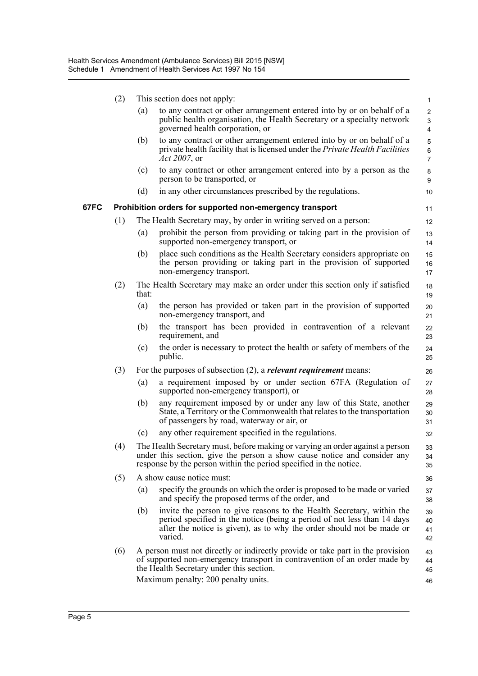|      | (2) |       | This section does not apply:                                                                                                                                                                                                         | $\mathbf{1}$                   |
|------|-----|-------|--------------------------------------------------------------------------------------------------------------------------------------------------------------------------------------------------------------------------------------|--------------------------------|
|      |     | (a)   | to any contract or other arrangement entered into by or on behalf of a<br>public health organisation, the Health Secretary or a specialty network<br>governed health corporation, or                                                 | $\mathbf{2}$<br>3<br>4         |
|      |     | (b)   | to any contract or other arrangement entered into by or on behalf of a<br>private health facility that is licensed under the Private Health Facilities<br>Act 2007, or                                                               | 5<br>$\,6\,$<br>$\overline{7}$ |
|      |     | (c)   | to any contract or other arrangement entered into by a person as the<br>person to be transported, or                                                                                                                                 | 8<br>9                         |
|      |     | (d)   | in any other circumstances prescribed by the regulations.                                                                                                                                                                            | 10                             |
| 67FC |     |       | Prohibition orders for supported non-emergency transport                                                                                                                                                                             | 11                             |
|      | (1) |       | The Health Secretary may, by order in writing served on a person:                                                                                                                                                                    | 12                             |
|      |     | (a)   | prohibit the person from providing or taking part in the provision of<br>supported non-emergency transport, or                                                                                                                       | 13<br>14                       |
|      |     | (b)   | place such conditions as the Health Secretary considers appropriate on<br>the person providing or taking part in the provision of supported<br>non-emergency transport.                                                              | 15<br>16<br>17                 |
|      | (2) | that: | The Health Secretary may make an order under this section only if satisfied                                                                                                                                                          | 18<br>19                       |
|      |     | (a)   | the person has provided or taken part in the provision of supported<br>non-emergency transport, and                                                                                                                                  | 20<br>21                       |
|      |     | (b)   | the transport has been provided in contravention of a relevant<br>requirement, and                                                                                                                                                   | 22<br>23                       |
|      |     | (c)   | the order is necessary to protect the health or safety of members of the<br>public.                                                                                                                                                  | 24<br>25                       |
|      | (3) |       | For the purposes of subsection $(2)$ , a <i>relevant requirement</i> means:                                                                                                                                                          | 26                             |
|      |     | (a)   | a requirement imposed by or under section 67FA (Regulation of<br>supported non-emergency transport), or                                                                                                                              | 27<br>28                       |
|      |     | (b)   | any requirement imposed by or under any law of this State, another<br>State, a Territory or the Commonwealth that relates to the transportation<br>of passengers by road, waterway or air, or                                        | 29<br>30<br>31                 |
|      |     | (c)   | any other requirement specified in the regulations.                                                                                                                                                                                  | 32                             |
|      | (4) |       | The Health Secretary must, before making or varying an order against a person<br>under this section, give the person a show cause notice and consider any<br>response by the person within the period specified in the notice.       | 33<br>34<br>35                 |
|      | (5) |       | A show cause notice must:                                                                                                                                                                                                            | 36                             |
|      |     | (a)   | specify the grounds on which the order is proposed to be made or varied<br>and specify the proposed terms of the order, and                                                                                                          | 37<br>38                       |
|      |     | (b)   | invite the person to give reasons to the Health Secretary, within the<br>period specified in the notice (being a period of not less than 14 days<br>after the notice is given), as to why the order should not be made or<br>varied. | 39<br>40<br>41<br>42           |
|      | (6) |       | A person must not directly or indirectly provide or take part in the provision<br>of supported non-emergency transport in contravention of an order made by<br>the Health Secretary under this section.                              | 43<br>44<br>45                 |
|      |     |       | Maximum penalty: 200 penalty units.                                                                                                                                                                                                  | 46                             |
|      |     |       |                                                                                                                                                                                                                                      |                                |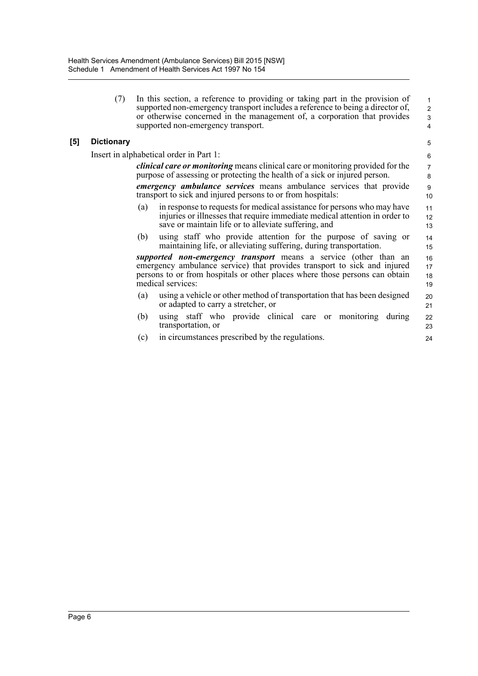(7) In this section, a reference to providing or taking part in the provision of supported non-emergency transport includes a reference to being a director of, or otherwise concerned in the management of, a corporation that provides supported non-emergency transport.

24

#### **[5] Dictionary**

Insert in alphabetical order in Part 1:

*clinical care or monitoring* means clinical care or monitoring provided for the purpose of assessing or protecting the health of a sick or injured person.

*emergency ambulance services* means ambulance services that provide transport to sick and injured persons to or from hospitals:

- (a) in response to requests for medical assistance for persons who may have injuries or illnesses that require immediate medical attention in order to save or maintain life or to alleviate suffering, and
- (b) using staff who provide attention for the purpose of saving or maintaining life, or alleviating suffering, during transportation.

*supported non-emergency transport* means a service (other than an emergency ambulance service) that provides transport to sick and injured persons to or from hospitals or other places where those persons can obtain medical services: 16 17 18 19

- (a) using a vehicle or other method of transportation that has been designed or adapted to carry a stretcher, or 20 21
- (b) using staff who provide clinical care or monitoring during transportation, or 22 23
- (c) in circumstances prescribed by the regulations.